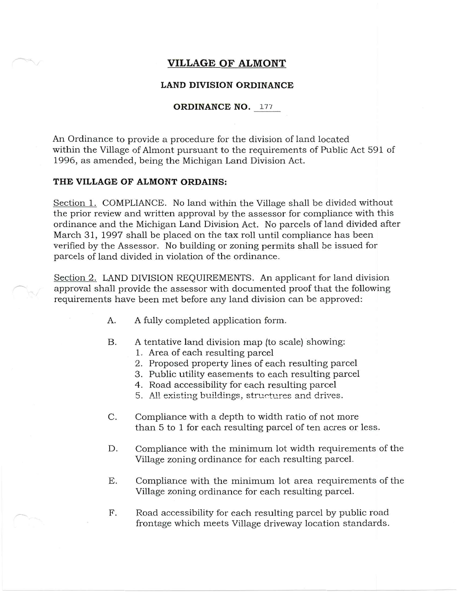## **VILLAGE OF ALMONT**

## **LAND DIVISION ORDINANCE**

## **ORDINANCE NO.** 177

An Ordinance to provide a procedure for the division of land located within the Village of Almont pursuant to the requirements of Public Act 591 of 1996, as amended, being the Michigan Land Division Act.

## **THE VILLAGE OF ALMONT ORDAINS:**

Section 1. COMPLIANCE. No land within the Village shall be divided without the prior review and written approval by the assessor for compliance with this ordinance and the Michigan Land Division Act. No parcels of land divided after March 31, 1997 shall be placed on the tax roll until compliance has been verified by the Assessor. No building or zoning permits shall be issued for parcels of land divided in violation of the ordinance.

Section 2. LAND DIVISION REQUIREMENTS. An applicant for land division approval shall provide the assessor with documented proof that the following requirements have been met before any land division can be approved:

- A. A fully completed application form.
- B. A tentative land division map (to scale) showing:
	- 1. Area of each resulting parcel
	- 2. Proposed property lines of each resulting parcel
	- 3. Public utility easements to each resulting parcel
	- 4. Road accessibility for each resulting parcel
	- 5. All existing buildings, structures and drives.
- C. Compliance with a depth to width ratio of not more than 5 to 1 for each resulting parcel of ten acres or less.
- D. Compliance with the minimum lot width requirements of the Village zoning ordinance for each resulting parcel.
- E. Compliance with the minimum lot area requirements of the Village zoning ordinance for each resulting parcel.
- F. Road accessibility for each resulting parcel by public road frontage which meets Village driveway location standards.